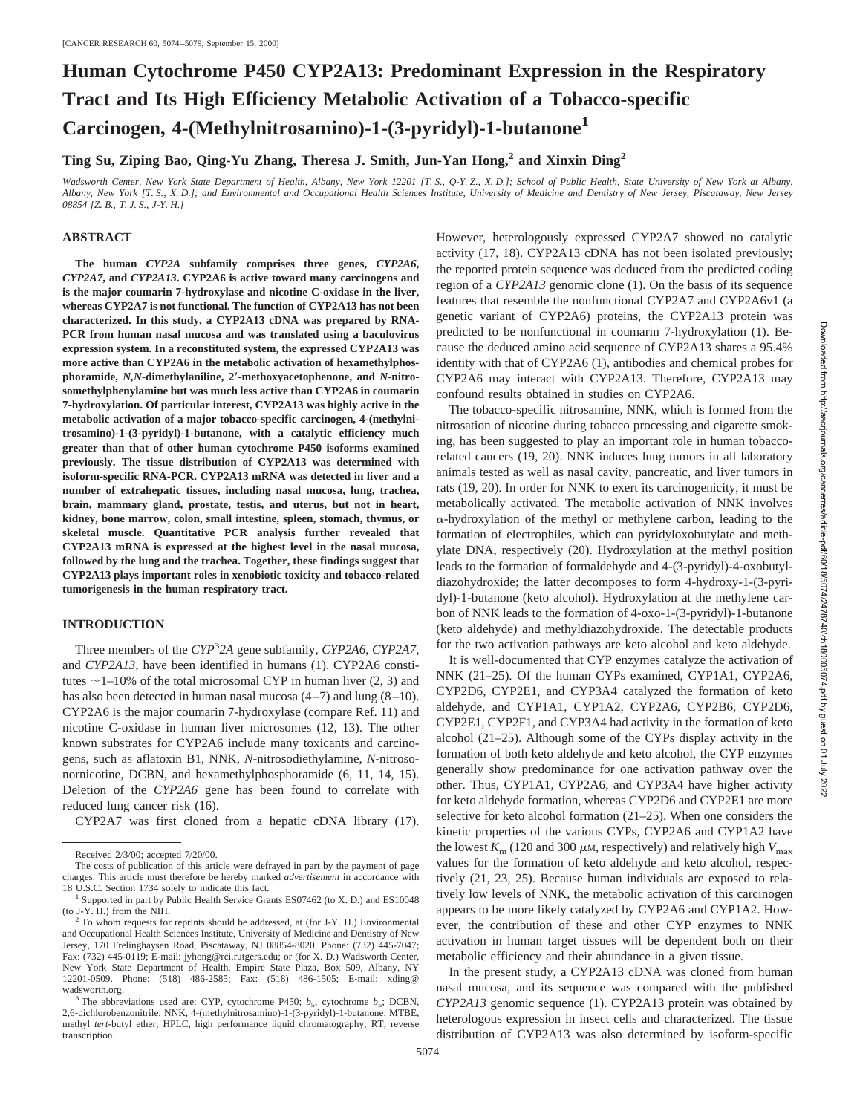# **Human Cytochrome P450 CYP2A13: Predominant Expression in the Respiratory Tract and Its High Efficiency Metabolic Activation of a Tobacco-specific Carcinogen, 4-(Methylnitrosamino)-1-(3-pyridyl)-1-butanone<sup>1</sup>**

**Ting Su, Ziping Bao, Qing-Yu Zhang, Theresa J. Smith, Jun-Yan Hong,2 and Xinxin Ding2**

*Wadsworth Center, New York State Department of Health, Albany, New York 12201 [T. S., Q-Y. Z., X. D.]; School of Public Health, State University of New York at Albany, Albany, New York [T. S., X. D.]; and Environmental and Occupational Health Sciences Institute, University of Medicine and Dentistry of New Jersey, Piscataway, New Jersey 08854 [Z. B., T. J. S., J-Y. H.]*

### **ABSTRACT**

**The human** *CYP2A* **subfamily comprises three genes,** *CYP2A6***,** *CYP2A7***, and** *CYP2A13***. CYP2A6 is active toward many carcinogens and is the major coumarin 7-hydroxylase and nicotine C-oxidase in the liver, whereas CYP2A7 is not functional. The function of CYP2A13 has not been characterized. In this study, a CYP2A13 cDNA was prepared by RNA-PCR from human nasal mucosa and was translated using a baculovirus expression system. In a reconstituted system, the expressed CYP2A13 was more active than CYP2A6 in the metabolic activation of hexamethylphosphoramide,** *N,N***-dimethylaniline, 2**\***-methoxyacetophenone, and** *N***-nitrosomethylphenylamine but was much less active than CYP2A6 in coumarin 7-hydroxylation. Of particular interest, CYP2A13 was highly active in the metabolic activation of a major tobacco-specific carcinogen, 4-(methylnitrosamino)-1-(3-pyridyl)-1-butanone, with a catalytic efficiency much greater than that of other human cytochrome P450 isoforms examined previously. The tissue distribution of CYP2A13 was determined with isoform-specific RNA-PCR. CYP2A13 mRNA was detected in liver and a number of extrahepatic tissues, including nasal mucosa, lung, trachea, brain, mammary gland, prostate, testis, and uterus, but not in heart, kidney, bone marrow, colon, small intestine, spleen, stomach, thymus, or skeletal muscle. Quantitative PCR analysis further revealed that CYP2A13 mRNA is expressed at the highest level in the nasal mucosa, followed by the lung and the trachea. Together, these findings suggest that CYP2A13 plays important roles in xenobiotic toxicity and tobacco-related tumorigenesis in the human respiratory tract.**

## **INTRODUCTION**

Three members of the *CYP*<sup>3</sup> *2A* gene subfamily, *CYP2A6*, *CYP2A7*, and *CYP2A13*, have been identified in humans (1). CYP2A6 constitutes  $\sim$  1–10% of the total microsomal CYP in human liver (2, 3) and has also been detected in human nasal mucosa  $(4-7)$  and lung  $(8-10)$ . CYP2A6 is the major coumarin 7-hydroxylase (compare Ref. 11) and nicotine C-oxidase in human liver microsomes (12, 13). The other known substrates for CYP2A6 include many toxicants and carcinogens, such as aflatoxin B1, NNK, *N*-nitrosodiethylamine, *N*-nitrosonornicotine, DCBN, and hexamethylphosphoramide (6, 11, 14, 15). Deletion of the *CYP2A6* gene has been found to correlate with reduced lung cancer risk (16).

CYP2A7 was first cloned from a hepatic cDNA library (17).

However, heterologously expressed CYP2A7 showed no catalytic activity (17, 18). CYP2A13 cDNA has not been isolated previously; the reported protein sequence was deduced from the predicted coding region of a *CYP2A13* genomic clone (1). On the basis of its sequence features that resemble the nonfunctional CYP2A7 and CYP2A6v1 (a genetic variant of CYP2A6) proteins, the CYP2A13 protein was predicted to be nonfunctional in coumarin 7-hydroxylation (1). Because the deduced amino acid sequence of CYP2A13 shares a 95.4% identity with that of CYP2A6 (1), antibodies and chemical probes for CYP2A6 may interact with CYP2A13. Therefore, CYP2A13 may confound results obtained in studies on CYP2A6.

The tobacco-specific nitrosamine, NNK, which is formed from the nitrosation of nicotine during tobacco processing and cigarette smoking, has been suggested to play an important role in human tobaccorelated cancers (19, 20). NNK induces lung tumors in all laboratory animals tested as well as nasal cavity, pancreatic, and liver tumors in rats (19, 20). In order for NNK to exert its carcinogenicity, it must be metabolically activated. The metabolic activation of NNK involves  $\alpha$ -hydroxylation of the methyl or methylene carbon, leading to the formation of electrophiles, which can pyridyloxobutylate and methylate DNA, respectively (20). Hydroxylation at the methyl position leads to the formation of formaldehyde and 4-(3-pyridyl)-4-oxobutyldiazohydroxide; the latter decomposes to form 4-hydroxy-1-(3-pyridyl)-1-butanone (keto alcohol). Hydroxylation at the methylene carbon of NNK leads to the formation of 4-oxo-1-(3-pyridyl)-1-butanone (keto aldehyde) and methyldiazohydroxide. The detectable products for the two activation pathways are keto alcohol and keto aldehyde.

It is well-documented that CYP enzymes catalyze the activation of NNK (21–25). Of the human CYPs examined, CYP1A1, CYP2A6, CYP2D6, CYP2E1, and CYP3A4 catalyzed the formation of keto aldehyde, and CYP1A1, CYP1A2, CYP2A6, CYP2B6, CYP2D6, CYP2E1, CYP2F1, and CYP3A4 had activity in the formation of keto alcohol (21–25). Although some of the CYPs display activity in the formation of both keto aldehyde and keto alcohol, the CYP enzymes generally show predominance for one activation pathway over the other. Thus, CYP1A1, CYP2A6, and CYP3A4 have higher activity for keto aldehyde formation, whereas CYP2D6 and CYP2E1 are more selective for keto alcohol formation (21–25). When one considers the kinetic properties of the various CYPs, CYP2A6 and CYP1A2 have the lowest  $K_m$  (120 and 300  $\mu$ M, respectively) and relatively high  $V_{\text{max}}$ values for the formation of keto aldehyde and keto alcohol, respectively (21, 23, 25). Because human individuals are exposed to relatively low levels of NNK, the metabolic activation of this carcinogen appears to be more likely catalyzed by CYP2A6 and CYP1A2. However, the contribution of these and other CYP enzymes to NNK activation in human target tissues will be dependent both on their metabolic efficiency and their abundance in a given tissue.

In the present study, a CYP2A13 cDNA was cloned from human nasal mucosa, and its sequence was compared with the published *CYP2A13* genomic sequence (1). CYP2A13 protein was obtained by heterologous expression in insect cells and characterized. The tissue distribution of CYP2A13 was also determined by isoform-specific

Received 2/3/00; accepted 7/20/00.

The costs of publication of this article were defrayed in part by the payment of page charges. This article must therefore be hereby marked *advertisement* in accordance with

 $1$ <sup>1</sup> Supported in part by Public Health Service Grants ES07462 (to X. D.) and ES10048 (to J-Y. H.) from the NIH.

To whom requests for reprints should be addressed, at (for J-Y. H.) Environmental and Occupational Health Sciences Institute, University of Medicine and Dentistry of New Jersey, 170 Frelinghaysen Road, Piscataway, NJ 08854-8020. Phone: (732) 445-7047; Fax: (732) 445-0119; E-mail: jyhong@rci.rutgers.edu; or (for X. D.) Wadsworth Center, New York State Department of Health, Empire State Plaza, Box 509, Albany, NY 12201-0509. Phone: (518) 486-2585; Fax: (518) 486-1505; E-mail: xding@

<sup>&</sup>lt;sup>3</sup> The abbreviations used are: CYP, cytochrome P450;  $b_5$ , cytochrome  $b_5$ ; DCBN, 2,6-dichlorobenzonitrile; NNK, 4-(methylnitrosamino)-1-(3-pyridyl)-1-butanone; MTBE, methyl *tert*-butyl ether; HPLC, high performance liquid chromatography; RT, reverse transcription.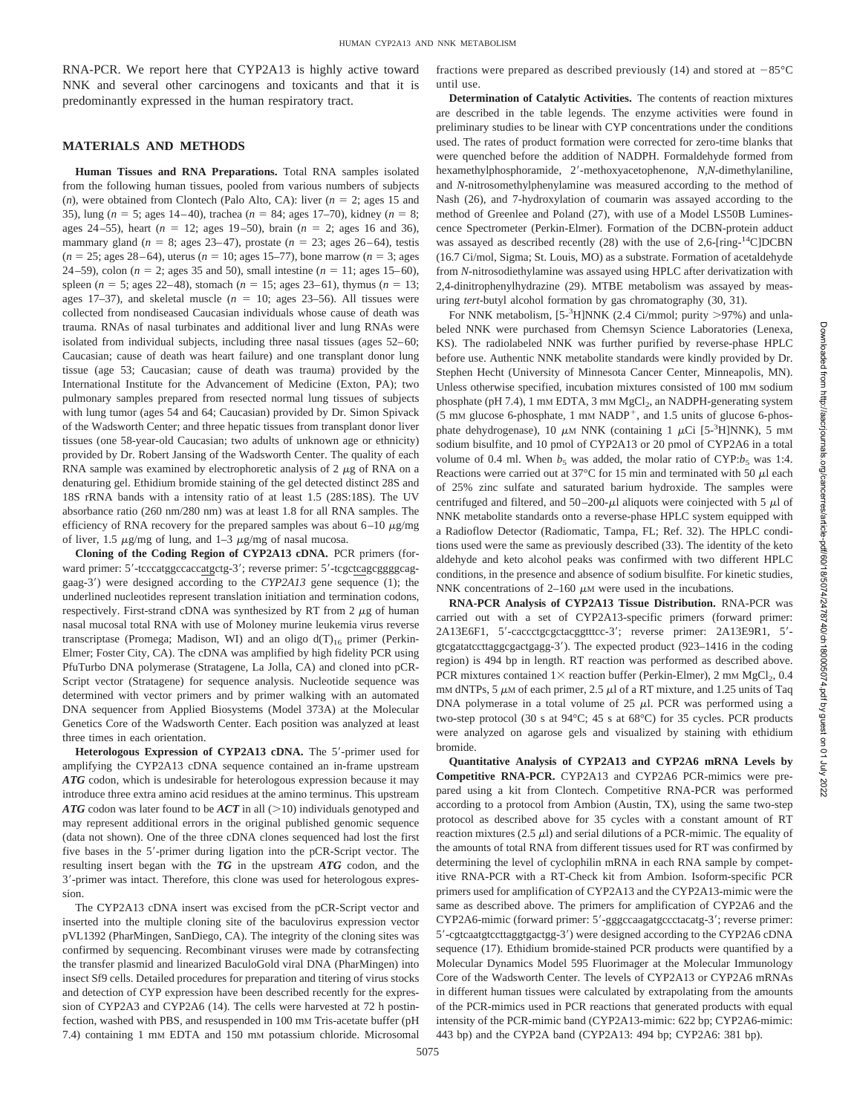RNA-PCR. We report here that CYP2A13 is highly active toward NNK and several other carcinogens and toxicants and that it is predominantly expressed in the human respiratory tract.

#### **MATERIALS AND METHODS**

**Human Tissues and RNA Preparations.** Total RNA samples isolated from the following human tissues, pooled from various numbers of subjects (*n*), were obtained from Clontech (Palo Alto, CA): liver ( $n = 2$ ; ages 15 and 35), lung (*n* = 5; ages 14-40), trachea (*n* = 84; ages 17-70), kidney (*n* = 8; ages 24–55), heart  $(n = 12; \text{ ages } 19-50)$ , brain  $(n = 2; \text{ ages } 16 \text{ and } 36)$ , mammary gland  $(n = 8; \text{ ages } 23-47)$ , prostate  $(n = 23; \text{ ages } 26-64)$ , testis  $(n = 25; \text{ ages } 28-64)$ , uterus  $(n = 10; \text{ ages } 15-77)$ , bone marrow  $(n = 3; \text{ ages } 15-77)$ 24–59), colon ( $n = 2$ ; ages 35 and 50), small intestine ( $n = 11$ ; ages 15–60), spleen ( $n = 5$ ; ages 22–48), stomach ( $n = 15$ ; ages 23–61), thymus ( $n = 13$ ; ages 17–37), and skeletal muscle  $(n = 10;$  ages 23–56). All tissues were collected from nondiseased Caucasian individuals whose cause of death was trauma. RNAs of nasal turbinates and additional liver and lung RNAs were isolated from individual subjects, including three nasal tissues (ages 52–60; Caucasian; cause of death was heart failure) and one transplant donor lung tissue (age 53; Caucasian; cause of death was trauma) provided by the International Institute for the Advancement of Medicine (Exton, PA); two pulmonary samples prepared from resected normal lung tissues of subjects with lung tumor (ages 54 and 64; Caucasian) provided by Dr. Simon Spivack of the Wadsworth Center; and three hepatic tissues from transplant donor liver tissues (one 58-year-old Caucasian; two adults of unknown age or ethnicity) provided by Dr. Robert Jansing of the Wadsworth Center. The quality of each RNA sample was examined by electrophoretic analysis of  $2 \mu g$  of RNA on a denaturing gel. Ethidium bromide staining of the gel detected distinct 28S and 18S rRNA bands with a intensity ratio of at least 1.5 (28S:18S). The UV absorbance ratio (260 nm/280 nm) was at least 1.8 for all RNA samples. The efficiency of RNA recovery for the prepared samples was about  $6-10 \mu g/mg$ of liver, 1.5  $\mu$ g/mg of lung, and 1–3  $\mu$ g/mg of nasal mucosa.

**Cloning of the Coding Region of CYP2A13 cDNA.** PCR primers (forward primer: 5'-tcccatggccaccatgctg-3'; reverse primer: 5'-tcgctcagcgggggcaggaag-3') were designed according to the *CYP2A13* gene sequence (1); the underlined nucleotides represent translation initiation and termination codons, respectively. First-strand cDNA was synthesized by RT from  $2 \mu$ g of human nasal mucosal total RNA with use of Moloney murine leukemia virus reverse transcriptase (Promega; Madison, WI) and an oligo  $d(T)_{16}$  primer (Perkin-Elmer; Foster City, CA). The cDNA was amplified by high fidelity PCR using PfuTurbo DNA polymerase (Stratagene, La Jolla, CA) and cloned into pCR-Script vector (Stratagene) for sequence analysis. Nucleotide sequence was determined with vector primers and by primer walking with an automated DNA sequencer from Applied Biosystems (Model 373A) at the Molecular Genetics Core of the Wadsworth Center. Each position was analyzed at least three times in each orientation.

Heterologous Expression of CYP2A13 cDNA. The 5'-primer used for amplifying the CYP2A13 cDNA sequence contained an in-frame upstream *ATG* codon, which is undesirable for heterologous expression because it may introduce three extra amino acid residues at the amino terminus. This upstream *ATG* codon was later found to be *ACT* in all (>10) individuals genotyped and may represent additional errors in the original published genomic sequence (data not shown). One of the three cDNA clones sequenced had lost the first five bases in the 5'-primer during ligation into the pCR-Script vector. The resulting insert began with the *TG* in the upstream *ATG* codon, and the 3'-primer was intact. Therefore, this clone was used for heterologous expression.

The CYP2A13 cDNA insert was excised from the pCR-Script vector and inserted into the multiple cloning site of the baculovirus expression vector pVL1392 (PharMingen, SanDiego, CA). The integrity of the cloning sites was confirmed by sequencing. Recombinant viruses were made by cotransfecting the transfer plasmid and linearized BaculoGold viral DNA (PharMingen) into insect Sf9 cells. Detailed procedures for preparation and titering of virus stocks and detection of CYP expression have been described recently for the expression of CYP2A3 and CYP2A6 (14). The cells were harvested at 72 h postinfection, washed with PBS, and resuspended in 100 mM Tris-acetate buffer (pH 7.4) containing 1 mM EDTA and 150 mM potassium chloride. Microsomal fractions were prepared as described previously (14) and stored at  $-85^{\circ}$ C until use.

**Determination of Catalytic Activities.** The contents of reaction mixtures are described in the table legends. The enzyme activities were found in preliminary studies to be linear with CYP concentrations under the conditions used. The rates of product formation were corrected for zero-time blanks that were quenched before the addition of NADPH. Formaldehyde formed from hexamethylphosphoramide, 2'-methoxyacetophenone, *N*,*N*-dimethylaniline, and *N*-nitrosomethylphenylamine was measured according to the method of Nash (26), and 7-hydroxylation of coumarin was assayed according to the method of Greenlee and Poland (27), with use of a Model LS50B Luminescence Spectrometer (Perkin-Elmer). Formation of the DCBN-protein adduct was assayed as described recently  $(28)$  with the use of 2,6-[ring-<sup>14</sup>C]DCBN (16.7 Ci/mol, Sigma; St. Louis, MO) as a substrate. Formation of acetaldehyde from *N*-nitrosodiethylamine was assayed using HPLC after derivatization with 2,4-dinitrophenylhydrazine (29). MTBE metabolism was assayed by measuring *tert*-butyl alcohol formation by gas chromatography (30, 31).

For NNK metabolism,  $[5-3H]NNK$  (2.4 Ci/mmol; purity >97%) and unlabeled NNK were purchased from Chemsyn Science Laboratories (Lenexa, KS). The radiolabeled NNK was further purified by reverse-phase HPLC before use. Authentic NNK metabolite standards were kindly provided by Dr. Stephen Hecht (University of Minnesota Cancer Center, Minneapolis, MN). Unless otherwise specified, incubation mixtures consisted of 100 mM sodium phosphate (pH 7.4), 1 mm EDTA, 3 mm MgCl<sub>2</sub>, an NADPH-generating system (5 mM glucose 6-phosphate, 1 mM  $NADP<sup>+</sup>$ , and 1.5 units of glucose 6-phosphate dehydrogenase), 10  $\mu$ M NNK (containing 1  $\mu$ Ci [5-<sup>3</sup>H]NNK), 5 mM sodium bisulfite, and 10 pmol of CYP2A13 or 20 pmol of CYP2A6 in a total volume of 0.4 ml. When  $b_5$  was added, the molar ratio of CYP: $b_5$  was 1:4. Reactions were carried out at 37 $\degree$ C for 15 min and terminated with 50  $\mu$ l each of 25% zinc sulfate and saturated barium hydroxide. The samples were centrifuged and filtered, and 50–200- $\mu$ l aliquots were coinjected with 5  $\mu$ l of NNK metabolite standards onto a reverse-phase HPLC system equipped with a Radioflow Detector (Radiomatic, Tampa, FL; Ref. 32). The HPLC conditions used were the same as previously described (33). The identity of the keto aldehyde and keto alcohol peaks was confirmed with two different HPLC conditions, in the presence and absence of sodium bisulfite. For kinetic studies, NNK concentrations of 2–160  $\mu$ M were used in the incubations.

**RNA-PCR Analysis of CYP2A13 Tissue Distribution.** RNA-PCR was carried out with a set of CYP2A13-specific primers (forward primer: 2A13E6F1, 5'-caccctgcgctacggtttcc-3'; reverse primer: 2A13E9R1, 5'gtcgatatccttaggcgactgagg-3'). The expected product (923-1416 in the coding region) is 494 bp in length. RT reaction was performed as described above. PCR mixtures contained  $1\times$  reaction buffer (Perkin-Elmer), 2 mM MgCl<sub>2</sub>, 0.4 mM dNTPs, 5  $\mu$ M of each primer, 2.5  $\mu$ l of a RT mixture, and 1.25 units of Taq DNA polymerase in a total volume of  $25 \mu$ l. PCR was performed using a two-step protocol (30 s at 94°C; 45 s at 68°C) for 35 cycles. PCR products were analyzed on agarose gels and visualized by staining with ethidium bromide.

**Quantitative Analysis of CYP2A13 and CYP2A6 mRNA Levels by Competitive RNA-PCR.** CYP2A13 and CYP2A6 PCR-mimics were prepared using a kit from Clontech. Competitive RNA-PCR was performed according to a protocol from Ambion (Austin, TX), using the same two-step protocol as described above for 35 cycles with a constant amount of RT reaction mixtures (2.5  $\mu$ l) and serial dilutions of a PCR-mimic. The equality of the amounts of total RNA from different tissues used for RT was confirmed by determining the level of cyclophilin mRNA in each RNA sample by competitive RNA-PCR with a RT-Check kit from Ambion. Isoform-specific PCR primers used for amplification of CYP2A13 and the CYP2A13-mimic were the same as described above. The primers for amplification of CYP2A6 and the CYP2A6-mimic (forward primer: 5'-gggccaagatgccctacatg-3'; reverse primer: 5'-cgtcaatgtccttaggtgactgg-3') were designed according to the CYP2A6 cDNA sequence (17). Ethidium bromide-stained PCR products were quantified by a Molecular Dynamics Model 595 Fluorimager at the Molecular Immunology Core of the Wadsworth Center. The levels of CYP2A13 or CYP2A6 mRNAs in different human tissues were calculated by extrapolating from the amounts of the PCR-mimics used in PCR reactions that generated products with equal intensity of the PCR-mimic band (CYP2A13-mimic: 622 bp; CYP2A6-mimic: 443 bp) and the CYP2A band (CYP2A13: 494 bp; CYP2A6: 381 bp).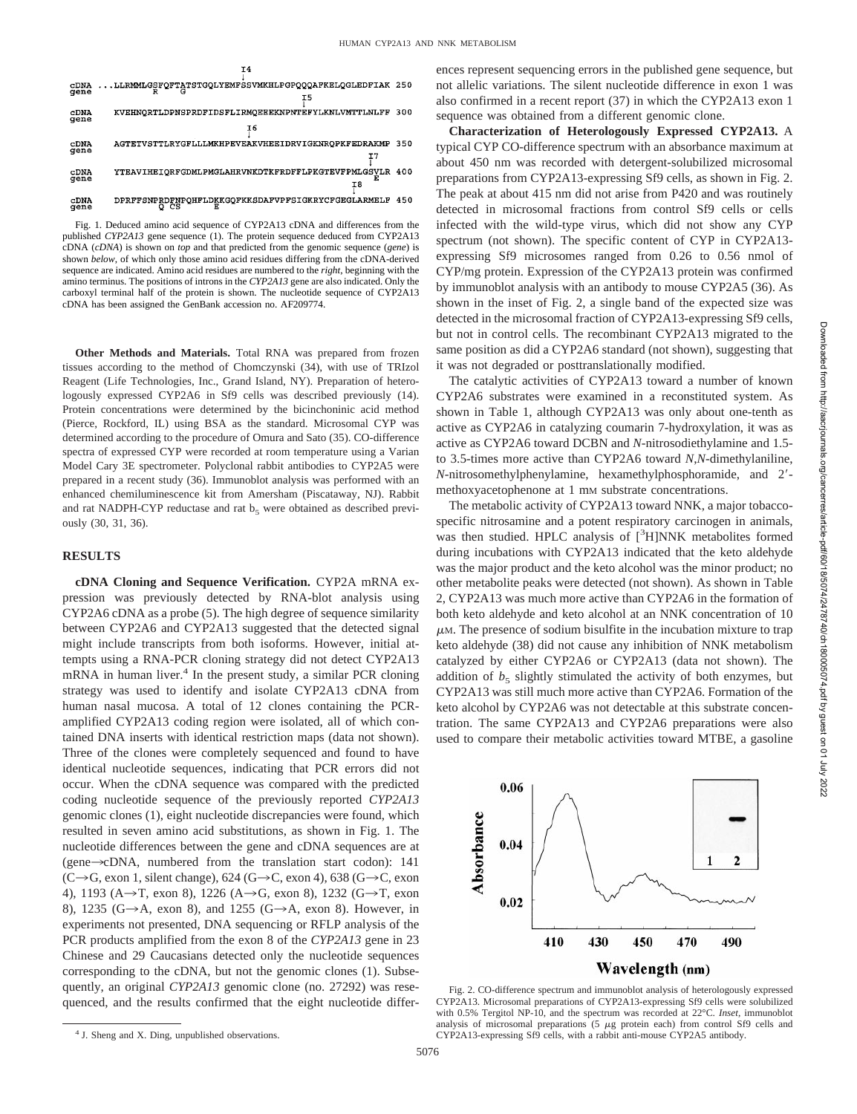

Fig. 1. Deduced amino acid sequence of CYP2A13 cDNA and differences from the published *CYP2A13* gene sequence (1). The protein sequence deduced from CYP2A13 cDNA (*cDNA*) is shown on *top* and that predicted from the genomic sequence (*gene*) is shown *below*, of which only those amino acid residues differing from the cDNA-derived sequence are indicated. Amino acid residues are numbered to the *right*, beginning with the amino terminus. The positions of introns in the *CYP2A13* gene are also indicated. Only the carboxyl terminal half of the protein is shown. The nucleotide sequence of CYP2A13 cDNA has been assigned the GenBank accession no. AF209774.

**Other Methods and Materials.** Total RNA was prepared from frozen tissues according to the method of Chomczynski (34), with use of TRIzol Reagent (Life Technologies, Inc., Grand Island, NY). Preparation of heterologously expressed CYP2A6 in Sf9 cells was described previously (14). Protein concentrations were determined by the bicinchoninic acid method (Pierce, Rockford, IL) using BSA as the standard. Microsomal CYP was determined according to the procedure of Omura and Sato (35). CO-difference spectra of expressed CYP were recorded at room temperature using a Varian Model Cary 3E spectrometer. Polyclonal rabbit antibodies to CYP2A5 were prepared in a recent study (36). Immunoblot analysis was performed with an enhanced chemiluminescence kit from Amersham (Piscataway, NJ). Rabbit and rat NADPH-CYP reductase and rat  $b_5$  were obtained as described previously (30, 31, 36).

## **RESULTS**

**cDNA Cloning and Sequence Verification.** CYP2A mRNA expression was previously detected by RNA-blot analysis using CYP2A6 cDNA as a probe (5). The high degree of sequence similarity between CYP2A6 and CYP2A13 suggested that the detected signal might include transcripts from both isoforms. However, initial attempts using a RNA-PCR cloning strategy did not detect CYP2A13 mRNA in human liver.<sup>4</sup> In the present study, a similar PCR cloning strategy was used to identify and isolate CYP2A13 cDNA from human nasal mucosa. A total of 12 clones containing the PCRamplified CYP2A13 coding region were isolated, all of which contained DNA inserts with identical restriction maps (data not shown). Three of the clones were completely sequenced and found to have identical nucleotide sequences, indicating that PCR errors did not occur. When the cDNA sequence was compared with the predicted coding nucleotide sequence of the previously reported *CYP2A13* genomic clones (1), eight nucleotide discrepancies were found, which resulted in seven amino acid substitutions, as shown in Fig. 1. The nucleotide differences between the gene and cDNA sequences are at (gene $\rightarrow$ cDNA, numbered from the translation start codon): 141  $(C\rightarrow G$ , exon 1, silent change), 624 (G $\rightarrow$ C, exon 4), 638 (G $\rightarrow$ C, exon 4), 1193 (A $\rightarrow$ T, exon 8), 1226 (A $\rightarrow$ G, exon 8), 1232 (G $\rightarrow$ T, exon 8), 1235 (G $\rightarrow$ A, exon 8), and 1255 (G $\rightarrow$ A, exon 8). However, in experiments not presented, DNA sequencing or RFLP analysis of the PCR products amplified from the exon 8 of the *CYP2A13* gene in 23 Chinese and 29 Caucasians detected only the nucleotide sequences corresponding to the cDNA, but not the genomic clones (1). Subsequently, an original *CYP2A13* genomic clone (no. 27292) was resequenced, and the results confirmed that the eight nucleotide differences represent sequencing errors in the published gene sequence, but not allelic variations. The silent nucleotide difference in exon 1 was also confirmed in a recent report (37) in which the CYP2A13 exon 1 sequence was obtained from a different genomic clone.

**Characterization of Heterologously Expressed CYP2A13.** A typical CYP CO-difference spectrum with an absorbance maximum at about 450 nm was recorded with detergent-solubilized microsomal preparations from CYP2A13-expressing Sf9 cells, as shown in Fig. 2. The peak at about 415 nm did not arise from P420 and was routinely detected in microsomal fractions from control Sf9 cells or cells infected with the wild-type virus, which did not show any CYP spectrum (not shown). The specific content of CYP in CYP2A13 expressing Sf9 microsomes ranged from 0.26 to 0.56 nmol of CYP/mg protein. Expression of the CYP2A13 protein was confirmed by immunoblot analysis with an antibody to mouse CYP2A5 (36). As shown in the inset of Fig. 2, a single band of the expected size was detected in the microsomal fraction of CYP2A13-expressing Sf9 cells, but not in control cells. The recombinant CYP2A13 migrated to the same position as did a CYP2A6 standard (not shown), suggesting that it was not degraded or posttranslationally modified.

The catalytic activities of CYP2A13 toward a number of known CYP2A6 substrates were examined in a reconstituted system. As shown in Table 1, although CYP2A13 was only about one-tenth as active as CYP2A6 in catalyzing coumarin 7-hydroxylation, it was as active as CYP2A6 toward DCBN and *N*-nitrosodiethylamine and 1.5 to 3.5-times more active than CYP2A6 toward *N*,*N*-dimethylaniline, *N*-nitrosomethylphenylamine, hexamethylphosphoramide, and 2'methoxyacetophenone at 1 mm substrate concentrations.

The metabolic activity of CYP2A13 toward NNK, a major tobaccospecific nitrosamine and a potent respiratory carcinogen in animals, was then studied. HPLC analysis of [<sup>3</sup>H]NNK metabolites formed during incubations with CYP2A13 indicated that the keto aldehyde was the major product and the keto alcohol was the minor product; no other metabolite peaks were detected (not shown). As shown in Table 2, CYP2A13 was much more active than CYP2A6 in the formation of both keto aldehyde and keto alcohol at an NNK concentration of 10  $\mu$ M. The presence of sodium bisulfite in the incubation mixture to trap keto aldehyde (38) did not cause any inhibition of NNK metabolism catalyzed by either CYP2A6 or CYP2A13 (data not shown). The addition of  $b<sub>5</sub>$  slightly stimulated the activity of both enzymes, but CYP2A13 was still much more active than CYP2A6. Formation of the keto alcohol by CYP2A6 was not detectable at this substrate concentration. The same CYP2A13 and CYP2A6 preparations were also used to compare their metabolic activities toward MTBE, a gasoline



Fig. 2. CO-difference spectrum and immunoblot analysis of heterologously expressed CYP2A13. Microsomal preparations of CYP2A13-expressing Sf9 cells were solubilized with 0.5% Tergitol NP-10, and the spectrum was recorded at 22°C. *Inset,* immunoblot analysis of microsomal preparations  $(5 \mu g)$  protein each) from control Sf9 cells and CYP2A13-expressing Sf9 cells, with a rabbit anti-mouse CYP2A5 antibody.

<sup>4</sup> J. Sheng and X. Ding, unpublished observations.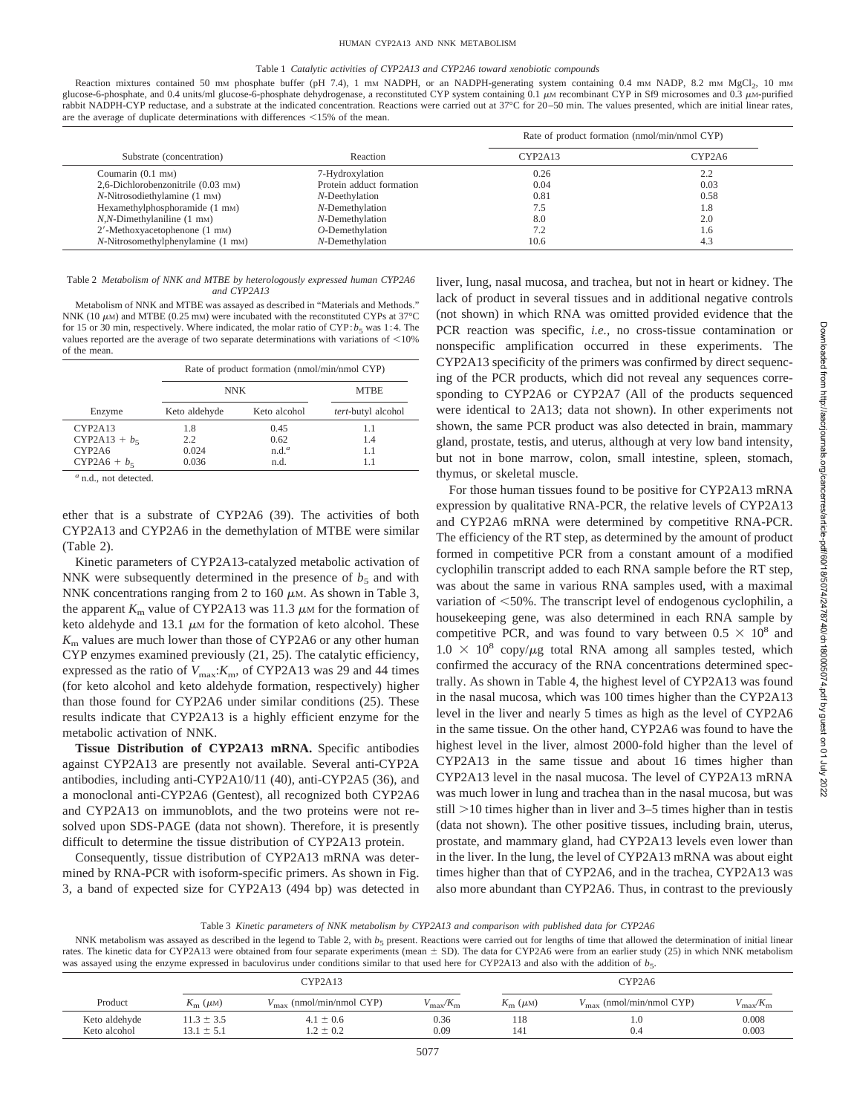#### Table 1 *Catalytic activities of CYP2A13 and CYP2A6 toward xenobiotic compounds*

Reaction mixtures contained 50 mm phosphate buffer (pH 7.4), 1 mm NADPH, or an NADPH-generating system containing 0.4 mm NADP, 8.2 mm MgCl<sub>2</sub>, 10 mm glucose-6-phosphate, and 0.4 units/ml glucose-6-phosphate dehydrogenase, a reconstituted CYP system containing 0.1  $\mu$ M recombinant CYP in Sf9 microsomes and 0.3  $\mu$ M-purified rabbit NADPH-CYP reductase, and a substrate at the indicated concentration. Reactions were carried out at 37°C for 20-50 min. The values presented, which are initial linear rates, are the average of duplicate determinations with differences  $\leq$ 15% of the mean.

|                                                |                          | Rate of product formation (nmol/min/nmol CYP) |        |
|------------------------------------------------|--------------------------|-----------------------------------------------|--------|
| Substrate (concentration)                      | Reaction                 | CYP2A13                                       | CYP2A6 |
| Coumarin (0.1 mm)                              | 7-Hydroxylation          | 0.26                                          | 2.2    |
| 2,6-Dichlorobenzonitrile (0.03 mm)             | Protein adduct formation | 0.04                                          | 0.03   |
| $N$ -Nitrosodiethylamine $(1 \text{ mm})$      | N-Deethylation           | 0.81                                          | 0.58   |
| Hexamethylphosphoramide (1 mm)                 | N-Demethylation          | 7.5                                           | 1.8    |
| $N$ , $N$ -Dimethylaniline (1 mm)              | N-Demethylation          | 8.0                                           | 2.0    |
| $2'$ -Methoxyacetophenone $(1 \text{ mm})$     | $O$ -Demethylation       | 7.2                                           | 1.6    |
| $N$ -Nitrosomethylphenylamine $(1 \text{ mm})$ | N-Demethylation          | 10.6                                          | 4.3    |

#### Table 2 *Metabolism of NNK and MTBE by heterologously expressed human CYP2A6 and CYP2A13*

Metabolism of NNK and MTBE was assayed as described in "Materials and Methods." NNK (10  $\mu$ M) and MTBE (0.25 mM) were incubated with the reconstituted CYPs at 37°C for 15 or 30 min, respectively. Where indicated, the molar ratio of  $CYP$ ;  $b<sub>5</sub>$  was 1:4. The values reported are the average of two separate determinations with variations of  $<$ 10% of the mean.

|                 | Rate of product formation (nmol/min/nmol CYP) |                   |                    |  |
|-----------------|-----------------------------------------------|-------------------|--------------------|--|
|                 | <b>NNK</b>                                    |                   | <b>MTBE</b>        |  |
| Enzyme          | Keto aldehyde                                 | Keto alcohol      | tert-butyl alcohol |  |
| CYP2A13         | 1.8                                           | 0.45              | 1.1                |  |
| $CYP2A13 + b_5$ | 2.2                                           | 0.62              | 1.4                |  |
| CYP2A6          | 0.024                                         | n.d. <sup>a</sup> | 1.1                |  |
| $CYP2A6 + b_5$  | 0.036                                         | n.d.              |                    |  |

*<sup>a</sup>* n.d., not detected.

ether that is a substrate of CYP2A6 (39). The activities of both CYP2A13 and CYP2A6 in the demethylation of MTBE were similar (Table 2).

Kinetic parameters of CYP2A13-catalyzed metabolic activation of NNK were subsequently determined in the presence of  $b<sub>5</sub>$  and with NNK concentrations ranging from 2 to 160  $\mu$ M. As shown in Table 3, the apparent  $K<sub>m</sub>$  value of CYP2A13 was 11.3  $\mu$ M for the formation of keto aldehyde and 13.1  $\mu$ M for the formation of keto alcohol. These  $K<sub>m</sub>$  values are much lower than those of CYP2A6 or any other human CYP enzymes examined previously (21, 25). The catalytic efficiency, expressed as the ratio of  $V_{\text{max}}$ : $K_{\text{m}}$ , of CYP2A13 was 29 and 44 times (for keto alcohol and keto aldehyde formation, respectively) higher than those found for CYP2A6 under similar conditions (25). These results indicate that CYP2A13 is a highly efficient enzyme for the metabolic activation of NNK.

**Tissue Distribution of CYP2A13 mRNA.** Specific antibodies against CYP2A13 are presently not available. Several anti-CYP2A antibodies, including anti-CYP2A10/11 (40), anti-CYP2A5 (36), and a monoclonal anti-CYP2A6 (Gentest), all recognized both CYP2A6 and CYP2A13 on immunoblots, and the two proteins were not resolved upon SDS-PAGE (data not shown). Therefore, it is presently difficult to determine the tissue distribution of CYP2A13 protein.

Consequently, tissue distribution of CYP2A13 mRNA was determined by RNA-PCR with isoform-specific primers. As shown in Fig. 3, a band of expected size for CYP2A13 (494 bp) was detected in liver, lung, nasal mucosa, and trachea, but not in heart or kidney. The lack of product in several tissues and in additional negative controls (not shown) in which RNA was omitted provided evidence that the PCR reaction was specific, *i.e.,* no cross-tissue contamination or nonspecific amplification occurred in these experiments. The CYP2A13 specificity of the primers was confirmed by direct sequencing of the PCR products, which did not reveal any sequences corresponding to CYP2A6 or CYP2A7 (All of the products sequenced were identical to 2A13; data not shown). In other experiments not shown, the same PCR product was also detected in brain, mammary gland, prostate, testis, and uterus, although at very low band intensity, but not in bone marrow, colon, small intestine, spleen, stomach, thymus, or skeletal muscle.

For those human tissues found to be positive for CYP2A13 mRNA expression by qualitative RNA-PCR, the relative levels of CYP2A13 and CYP2A6 mRNA were determined by competitive RNA-PCR. The efficiency of the RT step, as determined by the amount of product formed in competitive PCR from a constant amount of a modified cyclophilin transcript added to each RNA sample before the RT step, was about the same in various RNA samples used, with a maximal variation of  $<$  50%. The transcript level of endogenous cyclophilin, a housekeeping gene, was also determined in each RNA sample by competitive PCR, and was found to vary between  $0.5 \times 10^8$  and  $1.0 \times 10^8$  copy/ $\mu$ g total RNA among all samples tested, which confirmed the accuracy of the RNA concentrations determined spectrally. As shown in Table 4, the highest level of CYP2A13 was found in the nasal mucosa, which was 100 times higher than the CYP2A13 level in the liver and nearly 5 times as high as the level of CYP2A6 in the same tissue. On the other hand, CYP2A6 was found to have the highest level in the liver, almost 2000-fold higher than the level of CYP2A13 in the same tissue and about 16 times higher than CYP2A13 level in the nasal mucosa. The level of CYP2A13 mRNA was much lower in lung and trachea than in the nasal mucosa, but was still  $>10$  times higher than in liver and 3–5 times higher than in testis (data not shown). The other positive tissues, including brain, uterus, prostate, and mammary gland, had CYP2A13 levels even lower than in the liver. In the lung, the level of CYP2A13 mRNA was about eight times higher than that of CYP2A6, and in the trachea, CYP2A13 was also more abundant than CYP2A6. Thus, in contrast to the previously

Table 3 *Kinetic parameters of NNK metabolism by CYP2A13 and comparison with published data for CYP2A6*

NNK metabolism was assayed as described in the legend to Table 2, with  $b<sub>5</sub>$  present. Reactions were carried out for lengths of time that allowed the determination of initial linear rates. The kinetic data for CYP2A13 were obtained from four separate experiments (mean  $\pm$  SD). The data for CYP2A6 were from an earlier study (25) in which NNK metabolism was assayed using the enzyme expressed in baculovirus under conditions similar to that used here for CYP2A13 and also with the addition of  $b_5$ .

|               | CYP2A13                |                              | CYP2A6                          |                        |                              |                 |
|---------------|------------------------|------------------------------|---------------------------------|------------------------|------------------------------|-----------------|
| Product       | $K_{\rm m}$ ( $\mu$ M) | $(nmol/min/nmol$ CYP)<br>max | $\mu_{\rm max}/\Lambda_{\rm m}$ | $K_{\rm m}$ ( $\mu$ M) | $(nmol/min/nmol$ CYP)<br>max | $max/\Lambda_m$ |
| Keto aldehyde | $1.3 \pm 3.5$          | $4.1 \pm 0.6$                | 0.36                            | 118                    | 1.0                          | 0.008           |
| Keto alcohol  | $13.1 \pm 5.1$         | $.2 \pm 0.2$                 | 0.09                            | 141                    | 0.4                          | 0.003           |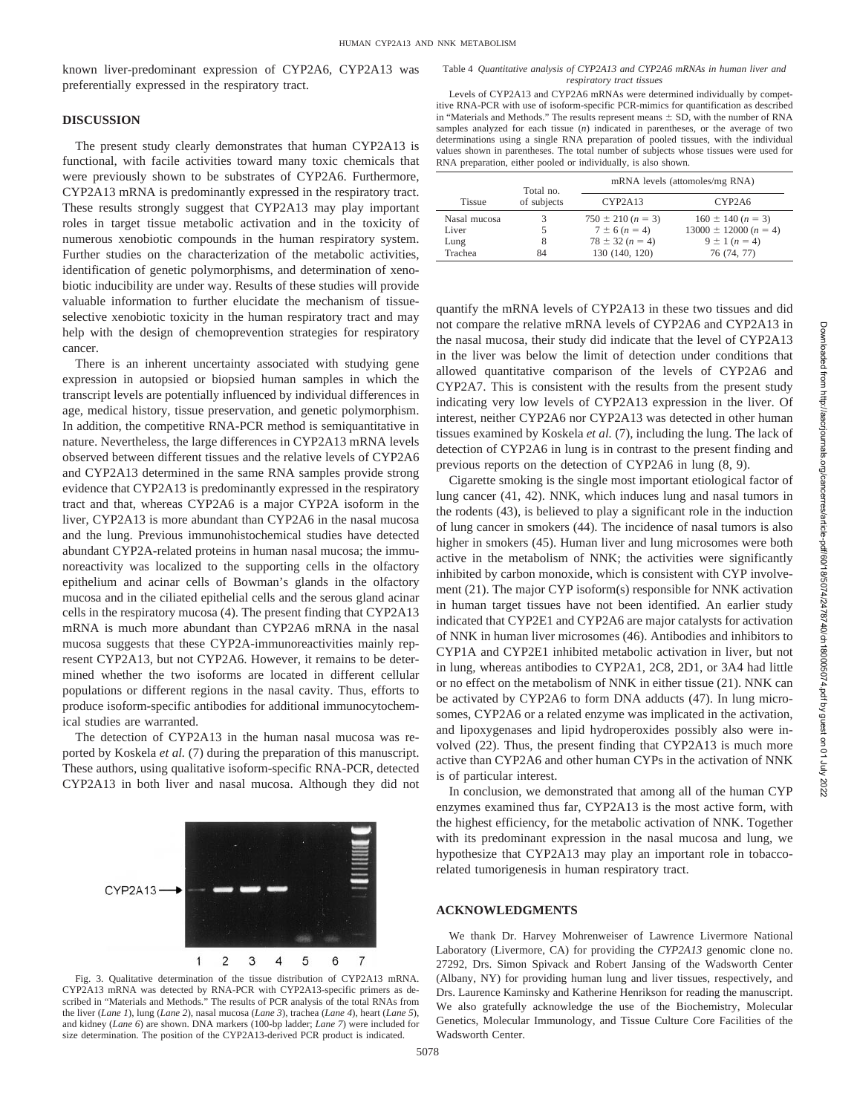known liver-predominant expression of CYP2A6, CYP2A13 was preferentially expressed in the respiratory tract.

## **DISCUSSION**

The present study clearly demonstrates that human CYP2A13 is functional, with facile activities toward many toxic chemicals that were previously shown to be substrates of CYP2A6. Furthermore, CYP2A13 mRNA is predominantly expressed in the respiratory tract. These results strongly suggest that CYP2A13 may play important roles in target tissue metabolic activation and in the toxicity of numerous xenobiotic compounds in the human respiratory system. Further studies on the characterization of the metabolic activities, identification of genetic polymorphisms, and determination of xenobiotic inducibility are under way. Results of these studies will provide valuable information to further elucidate the mechanism of tissueselective xenobiotic toxicity in the human respiratory tract and may help with the design of chemoprevention strategies for respiratory cancer.

There is an inherent uncertainty associated with studying gene expression in autopsied or biopsied human samples in which the transcript levels are potentially influenced by individual differences in age, medical history, tissue preservation, and genetic polymorphism. In addition, the competitive RNA-PCR method is semiquantitative in nature. Nevertheless, the large differences in CYP2A13 mRNA levels observed between different tissues and the relative levels of CYP2A6 and CYP2A13 determined in the same RNA samples provide strong evidence that CYP2A13 is predominantly expressed in the respiratory tract and that, whereas CYP2A6 is a major CYP2A isoform in the liver, CYP2A13 is more abundant than CYP2A6 in the nasal mucosa and the lung. Previous immunohistochemical studies have detected abundant CYP2A-related proteins in human nasal mucosa; the immunoreactivity was localized to the supporting cells in the olfactory epithelium and acinar cells of Bowman's glands in the olfactory mucosa and in the ciliated epithelial cells and the serous gland acinar cells in the respiratory mucosa (4). The present finding that CYP2A13 mRNA is much more abundant than CYP2A6 mRNA in the nasal mucosa suggests that these CYP2A-immunoreactivities mainly represent CYP2A13, but not CYP2A6. However, it remains to be determined whether the two isoforms are located in different cellular populations or different regions in the nasal cavity. Thus, efforts to produce isoform-specific antibodies for additional immunocytochemical studies are warranted.

The detection of CYP2A13 in the human nasal mucosa was reported by Koskela *et al.* (7) during the preparation of this manuscript. These authors, using qualitative isoform-specific RNA-PCR, detected CYP2A13 in both liver and nasal mucosa. Although they did not



Fig. 3. Qualitative determination of the tissue distribution of CYP2A13 mRNA. CYP2A13 mRNA was detected by RNA-PCR with CYP2A13-specific primers as described in "Materials and Methods." The results of PCR analysis of the total RNAs from the liver (*Lane 1*), lung (*Lane 2*), nasal mucosa (*Lane 3*), trachea (*Lane 4*), heart (*Lane 5*), and kidney (*Lane 6*) are shown. DNA markers (100-bp ladder; *Lane 7*) were included for size determination. The position of the CYP2A13-derived PCR product is indicated.

Levels of CYP2A13 and CYP2A6 mRNAs were determined individually by competitive RNA-PCR with use of isoform-specific PCR-mimics for quantification as described in "Materials and Methods." The results represent means  $\pm$  SD, with the number of RNA samples analyzed for each tissue (*n*) indicated in parentheses, or the average of two determinations using a single RNA preparation of pooled tissues, with the individual values shown in parentheses. The total number of subjects whose tissues were used for RNA preparation, either pooled or individually, is also shown.

|               | Total no.   |                       | mRNA levels (attomoles/mg RNA) |
|---------------|-------------|-----------------------|--------------------------------|
| <b>Tissue</b> | of subjects | CYP2A13               | CYP2A6                         |
| Nasal mucosa  |             | $750 \pm 210 (n = 3)$ | $160 \pm 140 (n = 3)$          |
| Liver         |             | $7 \pm 6 (n = 4)$     | $13000 \pm 12000 (n = 4)$      |
| Lung          | 8           | $78 \pm 32 (n = 4)$   | $9 \pm 1 (n = 4)$              |
| Trachea       | 84          | 130 (140, 120)        | 76 (74, 77)                    |

quantify the mRNA levels of CYP2A13 in these two tissues and did not compare the relative mRNA levels of CYP2A6 and CYP2A13 in the nasal mucosa, their study did indicate that the level of CYP2A13 in the liver was below the limit of detection under conditions that allowed quantitative comparison of the levels of CYP2A6 and CYP2A7. This is consistent with the results from the present study indicating very low levels of CYP2A13 expression in the liver. Of interest, neither CYP2A6 nor CYP2A13 was detected in other human tissues examined by Koskela *et al.* (7), including the lung. The lack of detection of CYP2A6 in lung is in contrast to the present finding and previous reports on the detection of CYP2A6 in lung (8, 9).

Cigarette smoking is the single most important etiological factor of lung cancer (41, 42). NNK, which induces lung and nasal tumors in the rodents (43), is believed to play a significant role in the induction of lung cancer in smokers (44). The incidence of nasal tumors is also higher in smokers (45). Human liver and lung microsomes were both active in the metabolism of NNK; the activities were significantly inhibited by carbon monoxide, which is consistent with CYP involvement (21). The major CYP isoform(s) responsible for NNK activation in human target tissues have not been identified. An earlier study indicated that CYP2E1 and CYP2A6 are major catalysts for activation of NNK in human liver microsomes (46). Antibodies and inhibitors to CYP1A and CYP2E1 inhibited metabolic activation in liver, but not in lung, whereas antibodies to CYP2A1, 2C8, 2D1, or 3A4 had little or no effect on the metabolism of NNK in either tissue (21). NNK can be activated by CYP2A6 to form DNA adducts (47). In lung microsomes, CYP2A6 or a related enzyme was implicated in the activation, and lipoxygenases and lipid hydroperoxides possibly also were involved (22). Thus, the present finding that CYP2A13 is much more active than CYP2A6 and other human CYPs in the activation of NNK is of particular interest.

In conclusion, we demonstrated that among all of the human CYP enzymes examined thus far, CYP2A13 is the most active form, with the highest efficiency, for the metabolic activation of NNK. Together with its predominant expression in the nasal mucosa and lung, we hypothesize that CYP2A13 may play an important role in tobaccorelated tumorigenesis in human respiratory tract.

## **ACKNOWLEDGMENTS**

We thank Dr. Harvey Mohrenweiser of Lawrence Livermore National Laboratory (Livermore, CA) for providing the *CYP2A13* genomic clone no. 27292, Drs. Simon Spivack and Robert Jansing of the Wadsworth Center (Albany, NY) for providing human lung and liver tissues, respectively, and Drs. Laurence Kaminsky and Katherine Henrikson for reading the manuscript. We also gratefully acknowledge the use of the Biochemistry, Molecular Genetics, Molecular Immunology, and Tissue Culture Core Facilities of the Wadsworth Center.